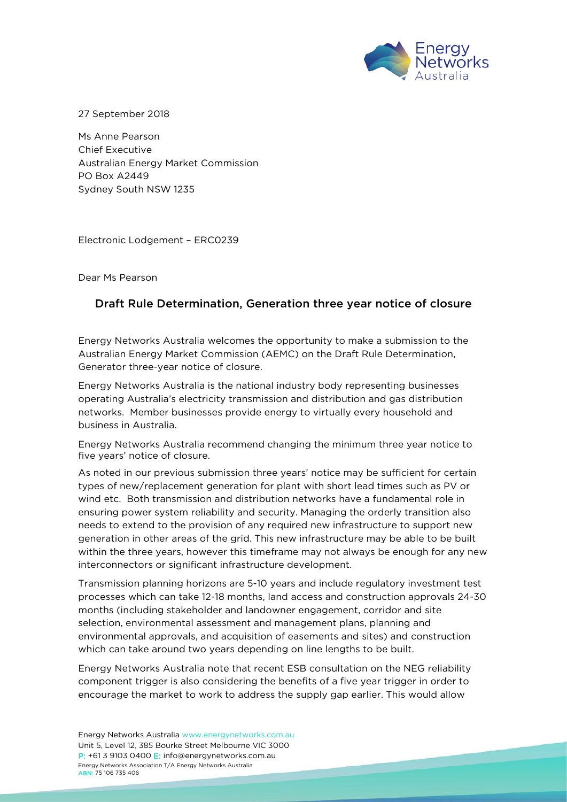

27 September 2018

Ms Anne Pearson Chief Executive Australian Energy Market Commission PO Box A2449 Sydney South NSW 1235

Electronic Lodgement – ERC0239

Dear Ms Pearson

## Draft Rule Determination, Generation three year notice of closure

Energy Networks Australia welcomes the opportunity to make a submission to the Australian Energy Market Commission (AEMC) on the Draft Rule Determination, Generator three-year notice of closure.

Energy Networks Australia is the national industry body representing businesses operating Australia's electricity transmission and distribution and gas distribution networks. Member businesses provide energy to virtually every household and business in Australia.

Energy Networks Australia recommend changing the minimum three year notice to five years' notice of closure.

As noted in our previous submission three years' notice may be sufficient for certain types of new/replacement generation for plant with short lead times such as PV or wind etc. Both transmission and distribution networks have a fundamental role in ensuring power system reliability and security. Managing the orderly transition also needs to extend to the provision of any required new infrastructure to support new generation in other areas of the grid. This new infrastructure may be able to be built within the three years, however this timeframe may not always be enough for any new interconnectors or significant infrastructure development.

Transmission planning horizons are 5-10 years and include regulatory investment test processes which can take 12-18 months, land access and construction approvals 24-30 months (including stakeholder and landowner engagement, corridor and site selection, environmental assessment and management plans, planning and environmental approvals, and acquisition of easements and sites) and construction which can take around two years depending on line lengths to be built.

Energy Networks Australia note that recent ESB consultation on the NEG reliability component trigger is also considering the benefits of a five year trigger in order to encourage the market to work to address the supply gap earlier. This would allow